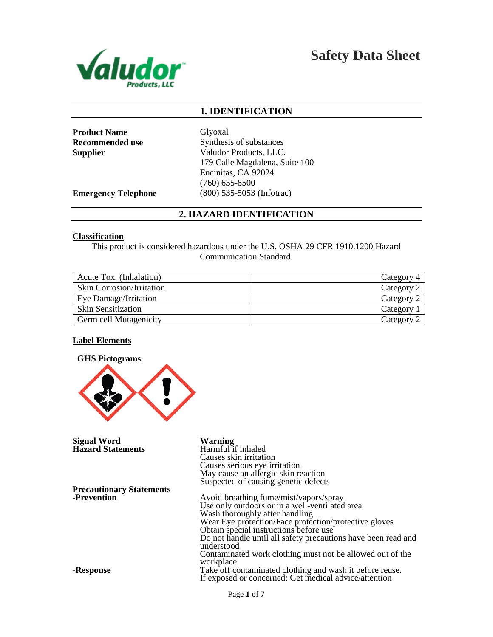

**Safety Data Sheet**

# **1. IDENTIFICATION**

Product Name Glyoxal

**Recommended use** Synthesis of substances **Supplier** Valudor Products, LLC. 179 Calle Magdalena, Suite 100 Encinitas, CA 92024 (760) 635-8500 **Emergency Telephone** (800) 535-5053 (Infotrac)

# **2. HAZARD IDENTIFICATION**

#### **Classification**

This product is considered hazardous under the U.S. OSHA 29 CFR 1910.1200 Hazard Communication Standard.

| Acute Tox. (Inhalation)          | Category 4 |
|----------------------------------|------------|
| <b>Skin Corrosion/Irritation</b> | Category 2 |
| Eye Damage/Irritation            | Category 2 |
| <b>Skin Sensitization</b>        | Category   |
| <b>Germ cell Mutagenicity</b>    | Category 2 |

### **Label Elements**



**Signal Word Warning Hazard Statements** 

**Precautionary Statements** -**Prevention**

-**Response**

Causes skin irritation Causes serious eye irritation May cause an allergic skin reaction Suspected of causing genetic defects

Avoid breathing fume/mist/vapors/spray Use only outdoors or in a well-ventilated area Wash thoroughly after handling Wear Eye protection/Face protection/protective gloves Obtain special instructions before use Do not handle until all safety precautions have been read and understood Contaminated work clothing must not be allowed out of the workplace Take off contaminated clothing and wash it before reuse. If exposed or concerned: Get medical advice/attention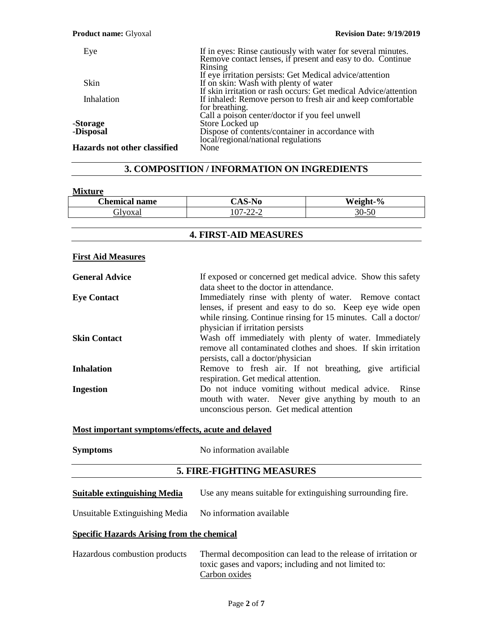#### **Product name:** Glyoxal **Revision Date: 9/19/2019**

| Eye                                 | If in eyes: Rinse cautiously with water for several minutes.<br>Remove contact lenses, if present and easy to do. Continue |
|-------------------------------------|----------------------------------------------------------------------------------------------------------------------------|
|                                     |                                                                                                                            |
|                                     | Rinsing                                                                                                                    |
|                                     | If eye irritation persists: Get Medical advice/attention                                                                   |
| Skin                                | If on skin: Wash with plenty of water                                                                                      |
|                                     | If skin irritation or rash occurs: Get medical Advice/attention                                                            |
| Inhalation                          | If inhaled: Remove person to fresh air and keep comfortable                                                                |
|                                     | for breathing.                                                                                                             |
|                                     | Call a poison center/doctor if you feel unwell                                                                             |
| -Storage                            | Store Locked up                                                                                                            |
| -Disposal                           | Dispose of contents/container in accordance with                                                                           |
|                                     | local/regional/national regulations                                                                                        |
| <b>Hazards not other classified</b> | None                                                                                                                       |

# **3. COMPOSITION / INFORMATION ON INGREDIENTS**

### **Mixture**

| <b>Chemical name</b> | $AA^*$<br>Ю.,                                                     | $\frac{6}{9}$<br>Weight- |
|----------------------|-------------------------------------------------------------------|--------------------------|
| ilvoxal              | 07. 22. 2<br>$\overline{\phantom{0}}$<br>$\overline{\phantom{0}}$ | $\sim$<br>\l I–`         |

## **4. FIRST-AID MEASURES**

### **First Aid Measures**

| <b>General Advice</b> | If exposed or concerned get medical advice. Show this safety<br>data sheet to the doctor in attendance.                                                                                                                  |  |
|-----------------------|--------------------------------------------------------------------------------------------------------------------------------------------------------------------------------------------------------------------------|--|
| <b>Eye Contact</b>    | Immediately rinse with plenty of water. Remove contact<br>lenses, if present and easy to do so. Keep eye wide open<br>while rinsing. Continue rinsing for 15 minutes. Call a doctor/<br>physician if irritation persists |  |
| <b>Skin Contact</b>   | Wash off immediately with plenty of water. Immediately<br>remove all contaminated clothes and shoes. If skin irritation<br>persists, call a doctor/physician                                                             |  |
| <b>Inhalation</b>     | Remove to fresh air. If not breathing, give artificial<br>respiration. Get medical attention.                                                                                                                            |  |
| <b>Ingestion</b>      | Do not induce vomiting without medical advice. Rinse<br>mouth with water. Never give anything by mouth to an<br>unconscious person. Get medical attention                                                                |  |

### **Most important symptoms/effects, acute and delayed**

| Symptoms | No information available |
|----------|--------------------------|
|          |                          |

# **5. FIRE-FIGHTING MEASURES**

| <b>Suitable extinguishing Media</b> | Use any means suitable for extinguishing surrounding fire. |  |  |
|-------------------------------------|------------------------------------------------------------|--|--|
|-------------------------------------|------------------------------------------------------------|--|--|

Unsuitable Extinguishing Media No information available

# **Specific Hazards Arising from the chemical**

| Hazardous combustion products | Thermal decomposition can lead to the release of irritation or |
|-------------------------------|----------------------------------------------------------------|
|                               | toxic gases and vapors; including and not limited to:          |
|                               | Carbon oxides                                                  |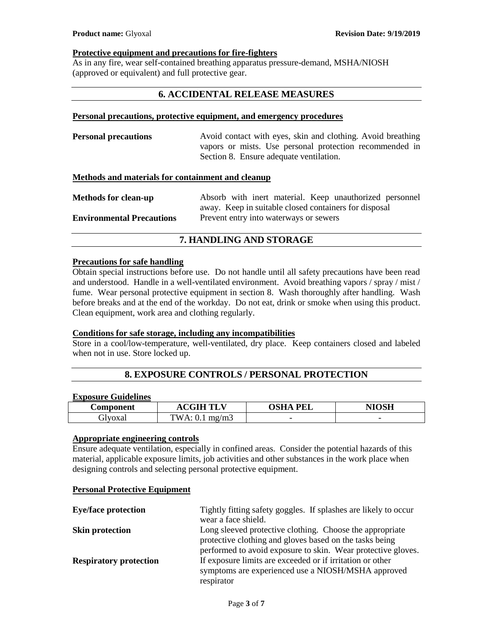### **Protective equipment and precautions for fire-fighters**

As in any fire, wear self-contained breathing apparatus pressure-demand, MSHA/NIOSH (approved or equivalent) and full protective gear.

## **6. ACCIDENTAL RELEASE MEASURES**

#### **Personal precautions, protective equipment, and emergency procedures**

**Personal precautions** Avoid contact with eyes, skin and clothing. Avoid breathing vapors or mists. Use personal protection recommended in Section 8. Ensure adequate ventilation.

# **Methods and materials for containment and cleanup**

| <b>Methods for clean-up</b>      | Absorb with inert material. Keep unauthorized personnel |
|----------------------------------|---------------------------------------------------------|
|                                  | away. Keep in suitable closed containers for disposal   |
| <b>Environmental Precautions</b> | Prevent entry into waterways or sewers                  |

# **7. HANDLING AND STORAGE**

### **Precautions for safe handling**

Obtain special instructions before use. Do not handle until all safety precautions have been read and understood. Handle in a well-ventilated environment. Avoid breathing vapors / spray / mist / fume. Wear personal protective equipment in section 8. Wash thoroughly after handling. Wash before breaks and at the end of the workday. Do not eat, drink or smoke when using this product. Clean equipment, work area and clothing regularly.

### **Conditions for safe storage, including any incompatibilities**

Store in a cool/low-temperature, well-ventilated, dry place. Keep containers closed and labeled when not in use. Store locked up.

## **8. EXPOSURE CONTROLS / PERSONAL PROTECTION**

### **Exposure Guidelines**

| <b>Component</b> | $\alpha$ tli ti<br>.                              | <b>OSHA</b><br><b>PEL</b> | NIOSH |
|------------------|---------------------------------------------------|---------------------------|-------|
| Glvoxal          | $TWA$ .<br>mg/m3<br>$\mathbf{v} \cdot \mathbf{r}$ | $\overline{\phantom{0}}$  | -     |

# **Appropriate engineering controls**

Ensure adequate ventilation, especially in confined areas. Consider the potential hazards of this material, applicable exposure limits, job activities and other substances in the work place when designing controls and selecting personal protective equipment.

### **Personal Protective Equipment**

| <b>Eye/face protection</b>    | Tightly fitting safety goggles. If splashes are likely to occur |
|-------------------------------|-----------------------------------------------------------------|
|                               | wear a face shield.                                             |
| <b>Skin protection</b>        | Long sleeved protective clothing. Choose the appropriate        |
|                               | protective clothing and gloves based on the tasks being         |
|                               | performed to avoid exposure to skin. Wear protective gloves.    |
| <b>Respiratory protection</b> | If exposure limits are exceeded or if irritation or other       |
|                               | symptoms are experienced use a NIOSH/MSHA approved              |
|                               | respirator                                                      |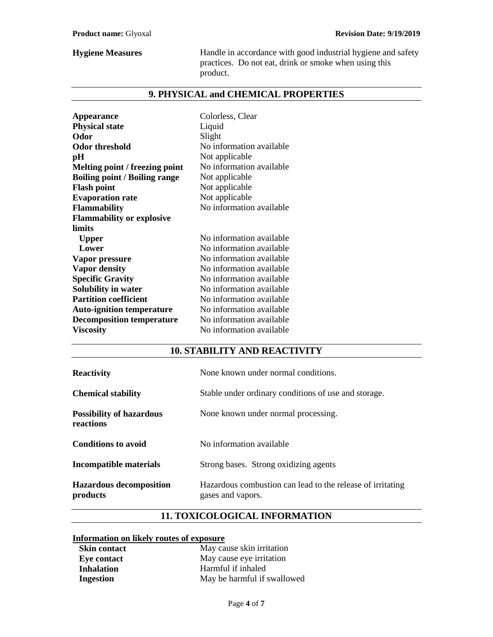**Hygiene Measures** Handle in accordance with good industrial hygiene and safety practices. Do not eat, drink or smoke when using this product.

# **9. PHYSICAL and CHEMICAL PROPERTIES**

| <b>Appearance</b>                    | Colorless, Clear         |
|--------------------------------------|--------------------------|
| <b>Physical state</b>                | Liquid                   |
| Odor                                 | Slight                   |
| <b>Odor threshold</b>                | No information available |
| pН                                   | Not applicable           |
| Melting point / freezing point       | No information available |
| <b>Boiling point / Boiling range</b> | Not applicable           |
| <b>Flash point</b>                   | Not applicable           |
| <b>Evaporation rate</b>              | Not applicable           |
| <b>Flammability</b>                  | No information available |
| <b>Flammability or explosive</b>     |                          |
| limits                               |                          |
| <b>Upper</b>                         | No information available |
| Lower                                | No information available |
| Vapor pressure                       | No information available |
| <b>Vapor density</b>                 | No information available |
| <b>Specific Gravity</b>              | No information available |
| Solubility in water                  | No information available |
| <b>Partition coefficient</b>         | No information available |
| <b>Auto-ignition temperature</b>     | No information available |
| <b>Decomposition temperature</b>     | No information available |
| <b>Viscosity</b>                     | No information available |

# **10. STABILITY AND REACTIVITY**

| <b>Reactivity</b>                            | None known under normal conditions.                                             |
|----------------------------------------------|---------------------------------------------------------------------------------|
| <b>Chemical stability</b>                    | Stable under ordinary conditions of use and storage.                            |
| <b>Possibility of hazardous</b><br>reactions | None known under normal processing.                                             |
| <b>Conditions to avoid</b>                   | No information available                                                        |
| Incompatible materials                       | Strong bases. Strong oxidizing agents                                           |
| <b>Hazardous decomposition</b><br>products   | Hazardous combustion can lead to the release of irritating<br>gases and vapors. |

# **11. TOXICOLOGICAL INFORMATION**

# **Information on likely routes of exposure**

| <b>Skin contact</b> | May cause skin irritation   |
|---------------------|-----------------------------|
| Eye contact         | May cause eye irritation    |
| <b>Inhalation</b>   | Harmful if inhaled          |
| Ingestion           | May be harmful if swallowed |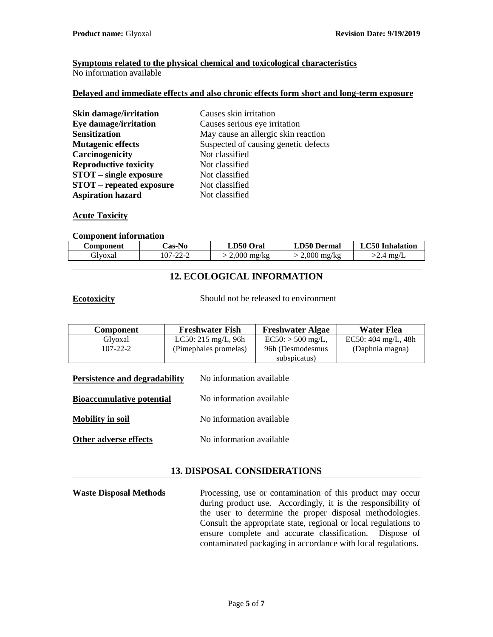# **Symptoms related to the physical chemical and toxicological characteristics**

No information available

### **Delayed and immediate effects and also chronic effects form short and long-term exposure**

| Skin damage/irritation          | Causes skin irritation               |
|---------------------------------|--------------------------------------|
| <b>Eye damage/irritation</b>    | Causes serious eye irritation        |
| <b>Sensitization</b>            | May cause an allergic skin reaction  |
| <b>Mutagenic effects</b>        | Suspected of causing genetic defects |
| Carcinogenicity                 | Not classified                       |
| <b>Reproductive toxicity</b>    | Not classified                       |
| <b>STOT</b> – single exposure   | Not classified                       |
| <b>STOT</b> – repeated exposure | Not classified                       |
| <b>Aspiration hazard</b>        | Not classified                       |

### **Acute Toxicity**

### **Component information**

| Component | <b>Cas-No</b> | LD50 Oral     | <b>LD50 Dermal</b> | LC50 Inhalation |
|-----------|---------------|---------------|--------------------|-----------------|
| divoxal   | 107-22-2      | $2.000$ mg/kg | $2.000$ mg/kg      | $'$ 4 mg/L      |

# **12. ECOLOGICAL INFORMATION**

**Ecotoxicity** Should not be released to environment

| <b>Component</b> | <b>Freshwater Fish</b>         | <b>Freshwater Algae</b> | <b>Water Flea</b>                |
|------------------|--------------------------------|-------------------------|----------------------------------|
| Glvoxal          | LC50: $215 \text{ mg/L}$ , 96h | $EC50: > 500$ mg/L,     | EC50: $404 \text{ mg/L}$ , $48h$ |
| 107-22-2         | (Pimephales promelas)          | 96h (Desmodesmus        | (Daphnia magna)                  |
|                  |                                | subspicatus)            |                                  |

**Persistence and degradability** No information available

**Bioaccumulative potential** No information available

**Mobility in soil** No information available

**Other adverse effects** No information available

# **13. DISPOSAL CONSIDERATIONS**

**Waste Disposal Methods** Processing, use or contamination of this product may occur during product use. Accordingly, it is the responsibility of the user to determine the proper disposal methodologies. Consult the appropriate state, regional or local regulations to ensure complete and accurate classification. Dispose of contaminated packaging in accordance with local regulations.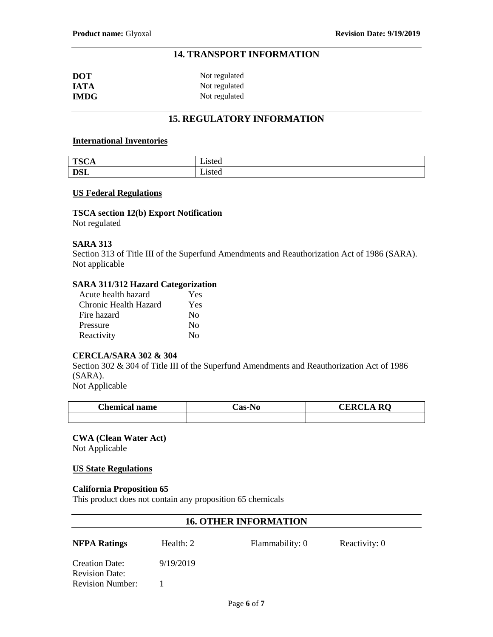# **14. TRANSPORT INFORMATION**

| <b>DOT</b>  | Not regulated |
|-------------|---------------|
| <b>IATA</b> | Not regulated |
| <b>IMDG</b> | Not regulated |

# **15. REGULATORY INFORMATION**

#### **International Inventories**

| <b>TSCA</b> | - -<br>Lısted |
|-------------|---------------|
| <b>DSL</b>  | - .<br>Listed |

#### **US Federal Regulations**

## **TSCA section 12(b) Export Notification**

Not regulated

### **SARA 313**

Section 313 of Title III of the Superfund Amendments and Reauthorization Act of 1986 (SARA). Not applicable

### **SARA 311/312 Hazard Categorization**

| Acute health hazard   | Yes      |
|-----------------------|----------|
| Chronic Health Hazard | Yes      |
| Fire hazard           | No       |
| Pressure              | No       |
| Reactivity            | $\rm No$ |

### **CERCLA/SARA 302 & 304**

Section 302 & 304 of Title III of the Superfund Amendments and Reauthorization Act of 1986 (SARA).

Not Applicable

| <b>Chemical name</b> | <b>Cas-No</b> | <b>CERCI</b><br>RO.<br>JA K! |
|----------------------|---------------|------------------------------|
|                      |               |                              |

**CWA (Clean Water Act)** Not Applicable

### **US State Regulations**

### **California Proposition 65**

This product does not contain any proposition 65 chemicals

## **16. OTHER INFORMATION**

|  | 'A Ratings |  |
|--|------------|--|
|--|------------|--|

**NFPA Ratings** Health: 2 Flammability: 0 Reactivity: 0

Creation Date: 9/19/2019 Revision Date: Revision Number: 1